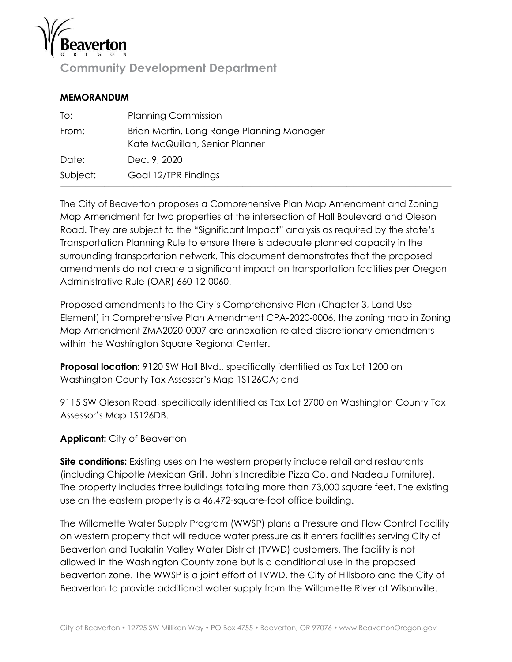

**Community Development Department**

#### **MEMORANDUM**

| To:      | <b>Planning Commission</b>                                                  |
|----------|-----------------------------------------------------------------------------|
| From:    | Brian Martin, Long Range Planning Manager<br>Kate McQuillan, Senior Planner |
| Date:    | Dec. 9, 2020                                                                |
| Subject: | Goal 12/TPR Findings                                                        |

The City of Beaverton proposes a Comprehensive Plan Map Amendment and Zoning Map Amendment for two properties at the intersection of Hall Boulevard and Oleson Road. They are subject to the "Significant Impact" analysis as required by the state's Transportation Planning Rule to ensure there is adequate planned capacity in the surrounding transportation network. This document demonstrates that the proposed amendments do not create a significant impact on transportation facilities per Oregon Administrative Rule (OAR) 660-12-0060.

Proposed amendments to the City's Comprehensive Plan (Chapter 3, Land Use Element) in Comprehensive Plan Amendment CPA-2020-0006, the zoning map in Zoning Map Amendment ZMA2020-0007 are annexation-related discretionary amendments within the Washington Square Regional Center.

**Proposal location:** 9120 SW Hall Blvd., specifically identified as Tax Lot 1200 on Washington County Tax Assessor's Map 1S126CA; and

9115 SW Oleson Road, specifically identified as Tax Lot 2700 on Washington County Tax Assessor's Map 1S126DB.

**Applicant:** City of Beaverton

**Site conditions:** Existing uses on the western property include retail and restaurants (including Chipotle Mexican Grill, John's Incredible Pizza Co. and Nadeau Furniture). The property includes three buildings totaling more than 73,000 square feet. The existing use on the eastern property is a 46,472-square-foot office building.

The Willamette Water Supply Program (WWSP) plans a Pressure and Flow Control Facility on western property that will reduce water pressure as it enters facilities serving City of Beaverton and Tualatin Valley Water District (TVWD) customers. The facility is not allowed in the Washington County zone but is a conditional use in the proposed Beaverton zone. The WWSP is a joint effort of TVWD, the City of Hillsboro and the City of Beaverton to provide additional water supply from the Willamette River at Wilsonville.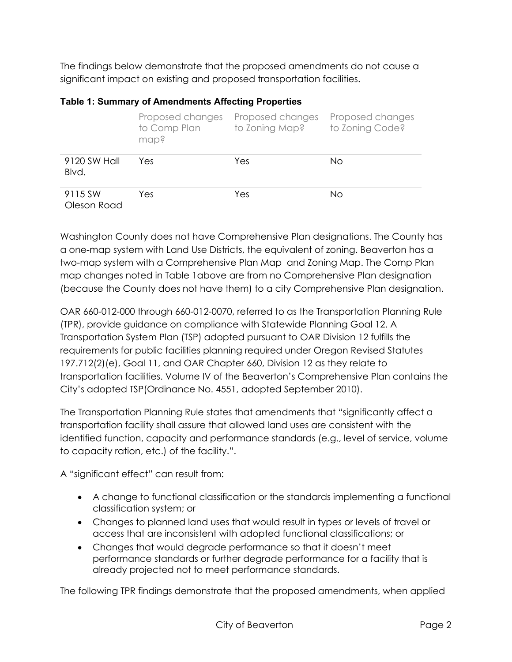The findings below demonstrate that the proposed amendments do not cause a significant impact on existing and proposed transportation facilities.

|                        | Proposed changes<br>to Comp Plan<br>map? | Proposed changes<br>to Zoning Map? | Proposed changes<br>to Zoning Code? |
|------------------------|------------------------------------------|------------------------------------|-------------------------------------|
| 9120 SW Hall<br>Blvd.  | Yes                                      | Yes                                | No.                                 |
| 9115 SW<br>Oleson Road | Yes                                      | Yes                                | Νo                                  |

#### <span id="page-1-0"></span>**Table 1: Summary of Amendments Affecting Properties**

Washington County does not have Comprehensive Plan designations. The County has a one-map system with Land Use Districts, the equivalent of zoning. Beaverton has a two-map system with a Comprehensive Plan Map and Zoning Map. The Comp Plan map changes noted in [Table 1a](#page-1-0)bove are from no Comprehensive Plan designation (because the County does not have them) to a city Comprehensive Plan designation.

OAR 660-012-000 through 660-012-0070, referred to as the Transportation Planning Rule (TPR), provide guidance on compliance with Statewide Planning Goal 12. A Transportation System Plan (TSP) adopted pursuant to OAR Division 12 fulfills the requirements for public facilities planning required under Oregon Revised Statutes 197.712(2)(e), Goal 11, and OAR Chapter 660, Division 12 as they relate to transportation facilities. Volume IV of the Beaverton's Comprehensive Plan contains the City's adopted TSP(Ordinance No. 4551, adopted September 2010).

The Transportation Planning Rule states that amendments that "significantly affect a transportation facility shall assure that allowed land uses are consistent with the identified function, capacity and performance standards (e.g., level of service, volume to capacity ration, etc.) of the facility.".

A "significant effect" can result from:

- A change to functional classification or the standards implementing a functional classification system; or
- Changes to planned land uses that would result in types or levels of travel or access that are inconsistent with adopted functional classifications; or
- Changes that would degrade performance so that it doesn't meet performance standards or further degrade performance for a facility that is already projected not to meet performance standards.

The following TPR findings demonstrate that the proposed amendments, when applied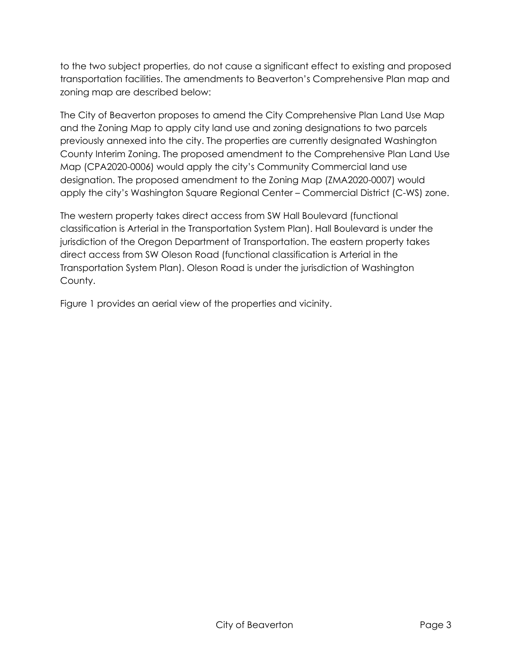to the two subject properties, do not cause a significant effect to existing and proposed transportation facilities. The amendments to Beaverton's Comprehensive Plan map and zoning map are described below:

The City of Beaverton proposes to amend the City Comprehensive Plan Land Use Map and the Zoning Map to apply city land use and zoning designations to two parcels previously annexed into the city. The properties are currently designated Washington County Interim Zoning. The proposed amendment to the Comprehensive Plan Land Use Map (CPA2020-0006) would apply the city's Community Commercial land use designation. The proposed amendment to the Zoning Map (ZMA2020-0007) would apply the city's Washington Square Regional Center – Commercial District (C-WS) zone.

The western property takes direct access from SW Hall Boulevard (functional classification is Arterial in the Transportation System Plan). Hall Boulevard is under the jurisdiction of the Oregon Department of Transportation. The eastern property takes direct access from SW Oleson Road (functional classification is Arterial in the Transportation System Plan). Oleson Road is under the jurisdiction of Washington County.

[Figure 1](#page-3-0) provides an aerial view of the properties and vicinity.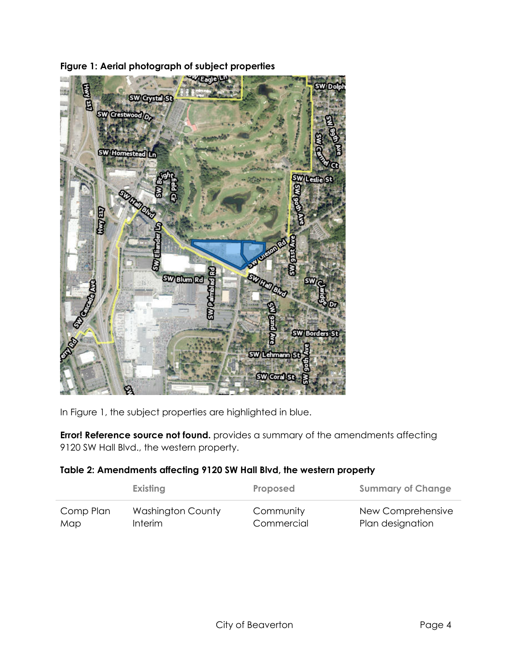<span id="page-3-0"></span>

**Figure 1: Aerial photograph of subject properties**

In Figure 1, the subject properties are highlighted in blue.

**Error! Reference source not found.** provides a summary of the amendments affecting 9120 SW Hall Blvd., the western property.

## **Table 2: Amendments affecting 9120 SW Hall Blvd, the western property**

|           | Existing                 | Proposed   | <b>Summary of Change</b> |
|-----------|--------------------------|------------|--------------------------|
| Comp Plan | <b>Washington County</b> | Community  | New Comprehensive        |
| Map       | <b>Interim</b>           | Commercial | Plan designation         |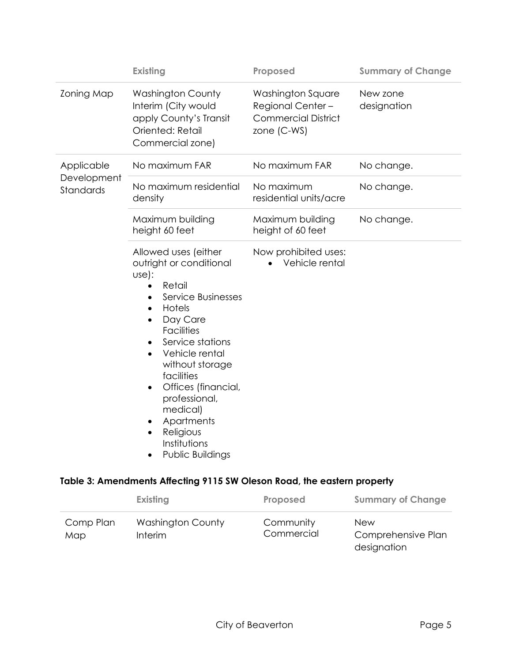|                          | <b>Existing</b>                                                                                                                                                                                                                                                                                                                                                                                                                              | Proposed                                                                           | <b>Summary of Change</b> |
|--------------------------|----------------------------------------------------------------------------------------------------------------------------------------------------------------------------------------------------------------------------------------------------------------------------------------------------------------------------------------------------------------------------------------------------------------------------------------------|------------------------------------------------------------------------------------|--------------------------|
| <b>Zoning Map</b>        | <b>Washington County</b><br>Interim (City would<br>apply County's Transit<br>Oriented: Retail<br>Commercial zone)                                                                                                                                                                                                                                                                                                                            | Washington Square<br>Regional Center-<br><b>Commercial District</b><br>zone (C-WS) | New zone<br>designation  |
| Applicable               | No maximum FAR                                                                                                                                                                                                                                                                                                                                                                                                                               | No maximum FAR                                                                     | No change.               |
| Development<br>Standards | No maximum residential<br>density                                                                                                                                                                                                                                                                                                                                                                                                            | No maximum<br>residential units/acre                                               | No change.               |
|                          | Maximum building<br>height 60 feet                                                                                                                                                                                                                                                                                                                                                                                                           | Maximum building<br>height of 60 feet                                              | No change.               |
|                          | Allowed uses (either<br>outright or conditional<br>Use):<br>Retail<br>$\bullet$<br>Service Businesses<br>$\bullet$<br>Hotels<br>$\bullet$<br>Day Care<br>$\bullet$<br><b>Facilities</b><br>Service stations<br>$\bullet$<br>Vehicle rental<br>$\bullet$<br>without storage<br>facilities<br>Offices (financial,<br>$\bullet$<br>professional,<br>medical)<br>Apartments<br>Religious<br>$\bullet$<br>Institutions<br><b>Public Buildings</b> | Now prohibited uses:<br>Vehicle rental                                             |                          |

# **Table 3: Amendments Affecting 9115 SW Oleson Road, the eastern property**

|                  | Existing                            | Proposed                | <b>Summary of Change</b>                        |
|------------------|-------------------------------------|-------------------------|-------------------------------------------------|
| Comp Plan<br>Map | <b>Washington County</b><br>Interim | Community<br>Commercial | <b>New</b><br>Comprehensive Plan<br>designation |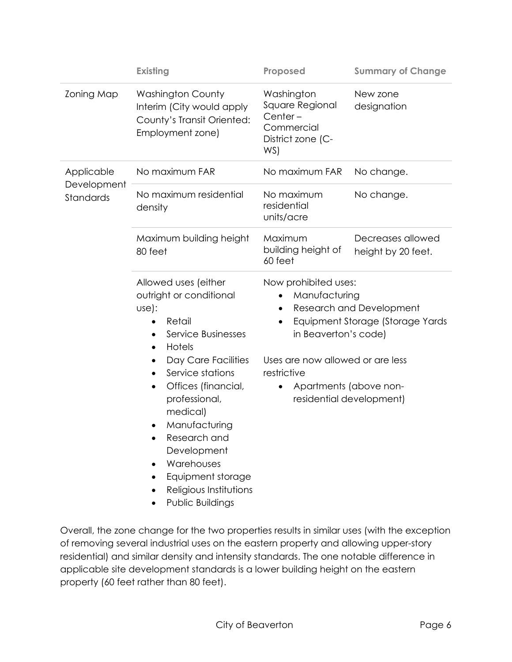|                          | <b>Existing</b>                                                                                                                                                                                                                                                                                                                                                                                                                                                                                                                          | Proposed                                                                                                                                                                                                                                                                          | <b>Summary of Change</b>                |
|--------------------------|------------------------------------------------------------------------------------------------------------------------------------------------------------------------------------------------------------------------------------------------------------------------------------------------------------------------------------------------------------------------------------------------------------------------------------------------------------------------------------------------------------------------------------------|-----------------------------------------------------------------------------------------------------------------------------------------------------------------------------------------------------------------------------------------------------------------------------------|-----------------------------------------|
| <b>Zoning Map</b>        | <b>Washington County</b><br>Interim (City would apply<br>County's Transit Oriented:<br>Employment zone)                                                                                                                                                                                                                                                                                                                                                                                                                                  | Washington<br>Square Regional<br>Center-<br>Commercial<br>District zone (C-<br>WS)                                                                                                                                                                                                | New zone<br>designation                 |
| Applicable               | No maximum FAR                                                                                                                                                                                                                                                                                                                                                                                                                                                                                                                           | No maximum FAR                                                                                                                                                                                                                                                                    | No change.                              |
| Development<br>Standards | No maximum residential<br>density                                                                                                                                                                                                                                                                                                                                                                                                                                                                                                        | No maximum<br>residential<br>units/acre                                                                                                                                                                                                                                           | No change.                              |
|                          | Maximum building height<br>80 feet                                                                                                                                                                                                                                                                                                                                                                                                                                                                                                       | Maximum<br>building height of<br>60 feet                                                                                                                                                                                                                                          | Decreases allowed<br>height by 20 feet. |
|                          | Allowed uses (either<br>outright or conditional<br>Use):<br>Retail<br>$\bullet$<br>Service Businesses<br>$\bullet$<br>Hotels<br>$\bullet$<br>Day Care Facilities<br>$\bullet$<br>Service stations<br>$\bullet$<br>Offices (financial,<br>$\bullet$<br>professional,<br>medical)<br>Manufacturing<br>٠<br>Research and<br>$\bullet$<br>Development<br>Warehouses<br>Equipment storage<br>Religious Institutions<br><b>Public Buildings</b><br>Overall, the zone change for the two properties results in similar uses (with the exception | Now prohibited uses:<br>Manufacturing<br>$\bullet$<br><b>Research and Development</b><br>٠<br>Equipment Storage (Storage Yards<br>$\bullet$<br>in Beaverton's code)<br>Uses are now allowed or are less<br>restrictive<br>Apartments (above non-<br>٠<br>residential development) |                                         |

Overall, the zone change for the two properties results in similar uses (with the exception of removing several industrial uses on the eastern property and allowing upper-story residential) and similar density and intensity standards. The one notable difference in applicable site development standards is a lower building height on the eastern property (60 feet rather than 80 feet).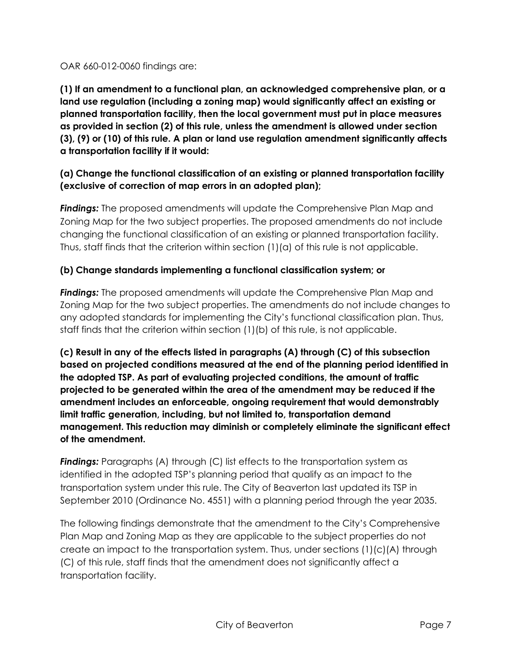OAR 660-012-0060 findings are:

**(1) If an amendment to a functional plan, an acknowledged comprehensive plan, or a land use regulation (including a zoning map) would significantly affect an existing or planned transportation facility, then the local government must put in place measures as provided in section (2) of this rule, unless the amendment is allowed under section (3), (9) or (10) of this rule. A plan or land use regulation amendment significantly affects a transportation facility if it would:**

# **(a) Change the functional classification of an existing or planned transportation facility (exclusive of correction of map errors in an adopted plan);**

*Findings:* The proposed amendments will update the Comprehensive Plan Map and Zoning Map for the two subject properties. The proposed amendments do not include changing the functional classification of an existing or planned transportation facility. Thus, staff finds that the criterion within section (1)(a) of this rule is not applicable.

## **(b) Change standards implementing a functional classification system; or**

*Findings:* The proposed amendments will update the Comprehensive Plan Map and Zoning Map for the two subject properties. The amendments do not include changes to any adopted standards for implementing the City's functional classification plan. Thus, staff finds that the criterion within section (1)(b) of this rule, is not applicable.

**(c) Result in any of the effects listed in paragraphs (A) through (C) of this subsection based on projected conditions measured at the end of the planning period identified in the adopted TSP. As part of evaluating projected conditions, the amount of traffic projected to be generated within the area of the amendment may be reduced if the amendment includes an enforceable, ongoing requirement that would demonstrably limit traffic generation, including, but not limited to, transportation demand management. This reduction may diminish or completely eliminate the significant effect of the amendment.** 

*Findings:* Paragraphs (A) through (C) list effects to the transportation system as identified in the adopted TSP's planning period that qualify as an impact to the transportation system under this rule. The City of Beaverton last updated its TSP in September 2010 (Ordinance No. 4551) with a planning period through the year 2035.

The following findings demonstrate that the amendment to the City's Comprehensive Plan Map and Zoning Map as they are applicable to the subject properties do not create an impact to the transportation system. Thus, under sections (1)(c)(A) through (C) of this rule, staff finds that the amendment does not significantly affect a transportation facility.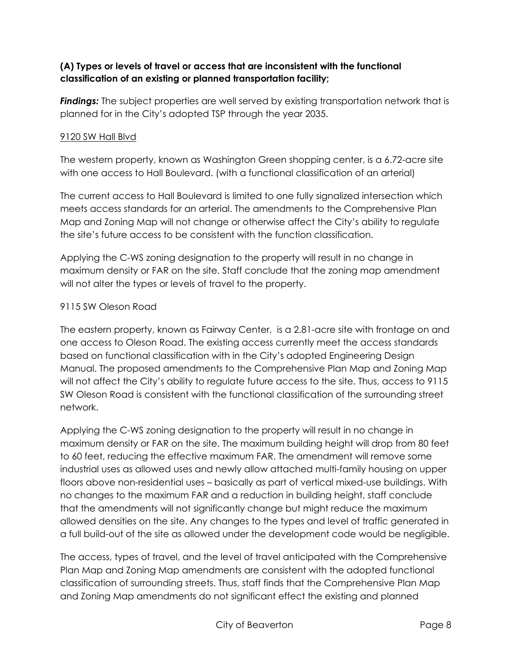### **(A) Types or levels of travel or access that are inconsistent with the functional classification of an existing or planned transportation facility;**

**Findings:** The subject properties are well served by existing transportation network that is planned for in the City's adopted TSP through the year 2035.

### 9120 SW Hall Blvd

The western property, known as Washington Green shopping center, is a 6.72-acre site with one access to Hall Boulevard. (with a functional classification of an arterial)

The current access to Hall Boulevard is limited to one fully signalized intersection which meets access standards for an arterial. The amendments to the Comprehensive Plan Map and Zoning Map will not change or otherwise affect the City's ability to regulate the site's future access to be consistent with the function classification.

Applying the C-WS zoning designation to the property will result in no change in maximum density or FAR on the site. Staff conclude that the zoning map amendment will not alter the types or levels of travel to the property.

#### 9115 SW Oleson Road

The eastern property, known as Fairway Center, is a 2.81-acre site with frontage on and one access to Oleson Road. The existing access currently meet the access standards based on functional classification with in the City's adopted Engineering Design Manual. The proposed amendments to the Comprehensive Plan Map and Zoning Map will not affect the City's ability to regulate future access to the site. Thus, access to 9115 SW Oleson Road is consistent with the functional classification of the surrounding street network.

Applying the C-WS zoning designation to the property will result in no change in maximum density or FAR on the site. The maximum building height will drop from 80 feet to 60 feet, reducing the effective maximum FAR. The amendment will remove some industrial uses as allowed uses and newly allow attached multi-family housing on upper floors above non-residential uses – basically as part of vertical mixed-use buildings. With no changes to the maximum FAR and a reduction in building height, staff conclude that the amendments will not significantly change but might reduce the maximum allowed densities on the site. Any changes to the types and level of traffic generated in a full build-out of the site as allowed under the development code would be negligible.

The access, types of travel, and the level of travel anticipated with the Comprehensive Plan Map and Zoning Map amendments are consistent with the adopted functional classification of surrounding streets. Thus, staff finds that the Comprehensive Plan Map and Zoning Map amendments do not significant effect the existing and planned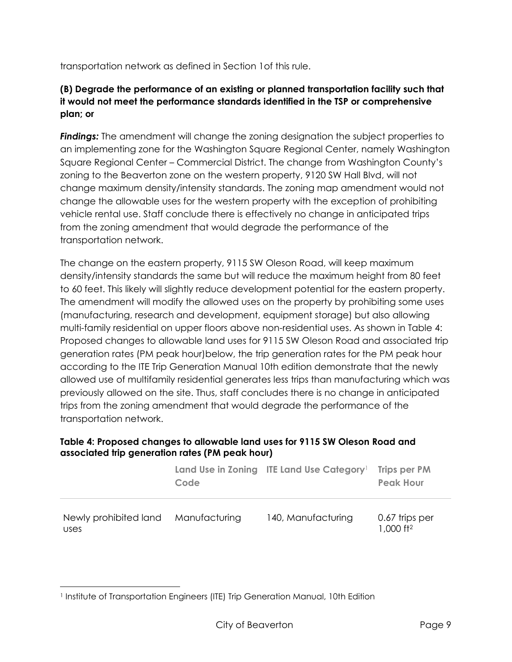transportation network as defined in Section 1of this rule.

# **(B) Degrade the performance of an existing or planned transportation facility such that it would not meet the performance standards identified in the TSP or comprehensive plan; or**

*Findings:* The amendment will change the zoning designation the subject properties to an implementing zone for the Washington Square Regional Center, namely Washington Square Regional Center – Commercial District. The change from Washington County's zoning to the Beaverton zone on the western property, 9120 SW Hall Blvd, will not change maximum density/intensity standards. The zoning map amendment would not change the allowable uses for the western property with the exception of prohibiting vehicle rental use. Staff conclude there is effectively no change in anticipated trips from the zoning amendment that would degrade the performance of the transportation network.

The change on the eastern property, 9115 SW Oleson Road, will keep maximum density/intensity standards the same but will reduce the maximum height from 80 feet to 60 feet. This likely will slightly reduce development potential for the eastern property. The amendment will modify the allowed uses on the property by prohibiting some uses (manufacturing, research and development, equipment storage) but also allowing multi-family residential on upper floors above non-residential uses. As shown in [Table 4:](#page-8-0)  [Proposed changes to allowable land uses for 9115 SW Oleson Road and associated trip](#page-8-0)  [generation rates \(PM peak hour\)b](#page-8-0)elow, the trip generation rates for the PM peak hour according to the ITE Trip Generation Manual 10th edition demonstrate that the newly allowed use of multifamily residential generates less trips than manufacturing which was previously allowed on the site. Thus, staff concludes there is no change in anticipated trips from the zoning amendment that would degrade the performance of the transportation network.

### <span id="page-8-0"></span>**Table 4: Proposed changes to allowable land uses for 9115 SW Oleson Road and associated trip generation rates (PM peak hour)**

|                               | Code          | Land Use in Zoning ITE Land Use Category <sup>1</sup> | <b>Trips per PM</b><br><b>Peak Hour</b>   |
|-------------------------------|---------------|-------------------------------------------------------|-------------------------------------------|
| Newly prohibited land<br>uses | Manufacturing | 140, Manufacturing                                    | 0.67 trips per<br>$1,000$ ft <sup>2</sup> |

<sup>&</sup>lt;sup>1</sup> Institute of Transportation Engineers (ITE) Trip Generation Manual, 10th Edition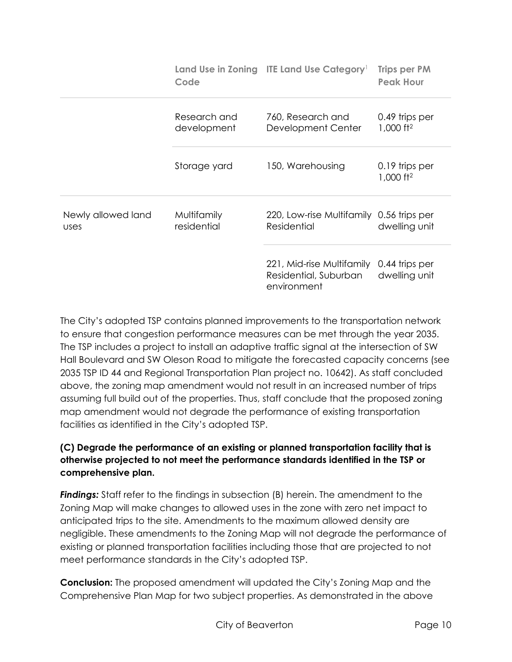|                            | Code                        | Land Use in Zoning ITE Land Use Category <sup>1</sup>             | <b>Trips per PM</b><br><b>Peak Hour</b> |
|----------------------------|-----------------------------|-------------------------------------------------------------------|-----------------------------------------|
|                            | Research and<br>development | 760, Research and<br>Development Center                           | 0.49 trips per<br>1,000 ft <sup>2</sup> |
|                            | Storage yard                | 150, Warehousing                                                  | 0.19 trips per<br>1,000 ft <sup>2</sup> |
| Newly allowed land<br>uses | Multifamily<br>residential  | 220, Low-rise Multifamily<br>Residential                          | 0.56 trips per<br>dwelling unit         |
|                            |                             | 221, Mid-rise Multifamily<br>Residential, Suburban<br>environment | 0.44 trips per<br>dwelling unit         |

The City's adopted TSP contains planned improvements to the transportation network to ensure that congestion performance measures can be met through the year 2035. The TSP includes a project to install an adaptive traffic signal at the intersection of SW Hall Boulevard and SW Oleson Road to mitigate the forecasted capacity concerns (see 2035 TSP ID 44 and Regional Transportation Plan project no. 10642). As staff concluded above, the zoning map amendment would not result in an increased number of trips assuming full build out of the properties. Thus, staff conclude that the proposed zoning map amendment would not degrade the performance of existing transportation facilities as identified in the City's adopted TSP.

# **(C) Degrade the performance of an existing or planned transportation facility that is otherwise projected to not meet the performance standards identified in the TSP or comprehensive plan.**

*Findings:* Staff refer to the findings in subsection (B) herein. The amendment to the Zoning Map will make changes to allowed uses in the zone with zero net impact to anticipated trips to the site. Amendments to the maximum allowed density are negligible. These amendments to the Zoning Map will not degrade the performance of existing or planned transportation facilities including those that are projected to not meet performance standards in the City's adopted TSP.

**Conclusion:** The proposed amendment will updated the City's Zoning Map and the Comprehensive Plan Map for two subject properties. As demonstrated in the above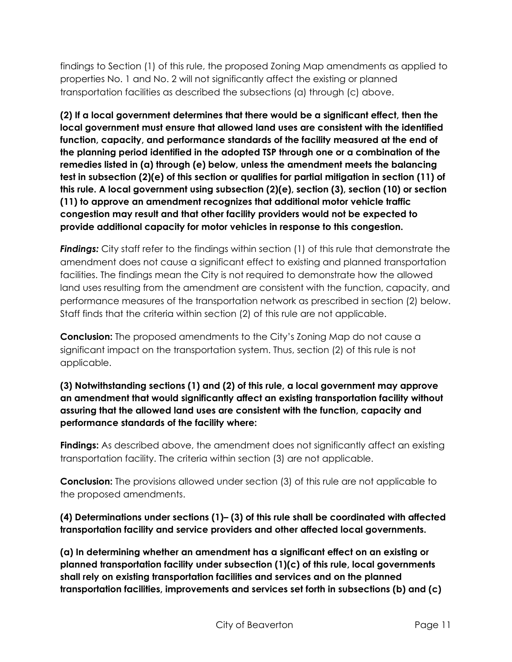findings to Section (1) of this rule, the proposed Zoning Map amendments as applied to properties No. 1 and No. 2 will not significantly affect the existing or planned transportation facilities as described the subsections (a) through (c) above.

**(2) If a local government determines that there would be a significant effect, then the local government must ensure that allowed land uses are consistent with the identified function, capacity, and performance standards of the facility measured at the end of the planning period identified in the adopted TSP through one or a combination of the remedies listed in (a) through (e) below, unless the amendment meets the balancing test in subsection (2)(e) of this section or qualifies for partial mitigation in section (11) of this rule. A local government using subsection (2)(e), section (3), section (10) or section (11) to approve an amendment recognizes that additional motor vehicle traffic congestion may result and that other facility providers would not be expected to provide additional capacity for motor vehicles in response to this congestion.** 

*Findings:* City staff refer to the findings within section (1) of this rule that demonstrate the amendment does not cause a significant effect to existing and planned transportation facilities. The findings mean the City is not required to demonstrate how the allowed land uses resulting from the amendment are consistent with the function, capacity, and performance measures of the transportation network as prescribed in section (2) below. Staff finds that the criteria within section (2) of this rule are not applicable.

**Conclusion:** The proposed amendments to the City's Zoning Map do not cause a significant impact on the transportation system. Thus, section (2) of this rule is not applicable.

### **(3) Notwithstanding sections (1) and (2) of this rule, a local government may approve an amendment that would significantly affect an existing transportation facility without assuring that the allowed land uses are consistent with the function, capacity and performance standards of the facility where:**

**Findings:** As described above, the amendment does not significantly affect an existing transportation facility. The criteria within section (3) are not applicable.

**Conclusion:** The provisions allowed under section (3) of this rule are not applicable to the proposed amendments.

## **(4) Determinations under sections (1)– (3) of this rule shall be coordinated with affected transportation facility and service providers and other affected local governments.**

**(a) In determining whether an amendment has a significant effect on an existing or planned transportation facility under subsection (1)(c) of this rule, local governments shall rely on existing transportation facilities and services and on the planned transportation facilities, improvements and services set forth in subsections (b) and (c)**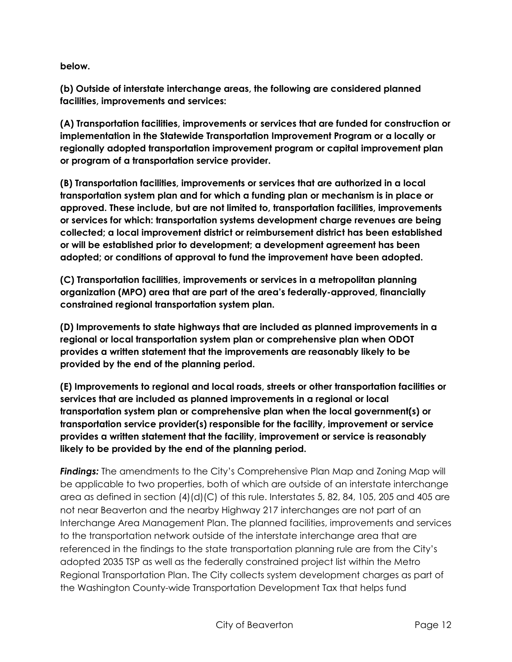**below.** 

**(b) Outside of interstate interchange areas, the following are considered planned facilities, improvements and services:** 

**(A) Transportation facilities, improvements or services that are funded for construction or implementation in the Statewide Transportation Improvement Program or a locally or regionally adopted transportation improvement program or capital improvement plan or program of a transportation service provider.** 

**(B) Transportation facilities, improvements or services that are authorized in a local transportation system plan and for which a funding plan or mechanism is in place or approved. These include, but are not limited to, transportation facilities, improvements or services for which: transportation systems development charge revenues are being collected; a local improvement district or reimbursement district has been established or will be established prior to development; a development agreement has been adopted; or conditions of approval to fund the improvement have been adopted.**

**(C) Transportation facilities, improvements or services in a metropolitan planning organization (MPO) area that are part of the area's federally-approved, financially constrained regional transportation system plan.** 

**(D) Improvements to state highways that are included as planned improvements in a regional or local transportation system plan or comprehensive plan when ODOT provides a written statement that the improvements are reasonably likely to be provided by the end of the planning period.** 

**(E) Improvements to regional and local roads, streets or other transportation facilities or services that are included as planned improvements in a regional or local transportation system plan or comprehensive plan when the local government(s) or transportation service provider(s) responsible for the facility, improvement or service provides a written statement that the facility, improvement or service is reasonably likely to be provided by the end of the planning period.** 

*Findings:* The amendments to the City's Comprehensive Plan Map and Zoning Map will be applicable to two properties, both of which are outside of an interstate interchange area as defined in section (4)(d)(C) of this rule. Interstates 5, 82, 84, 105, 205 and 405 are not near Beaverton and the nearby Highway 217 interchanges are not part of an Interchange Area Management Plan. The planned facilities, improvements and services to the transportation network outside of the interstate interchange area that are referenced in the findings to the state transportation planning rule are from the City's adopted 2035 TSP as well as the federally constrained project list within the Metro Regional Transportation Plan. The City collects system development charges as part of the Washington County-wide Transportation Development Tax that helps fund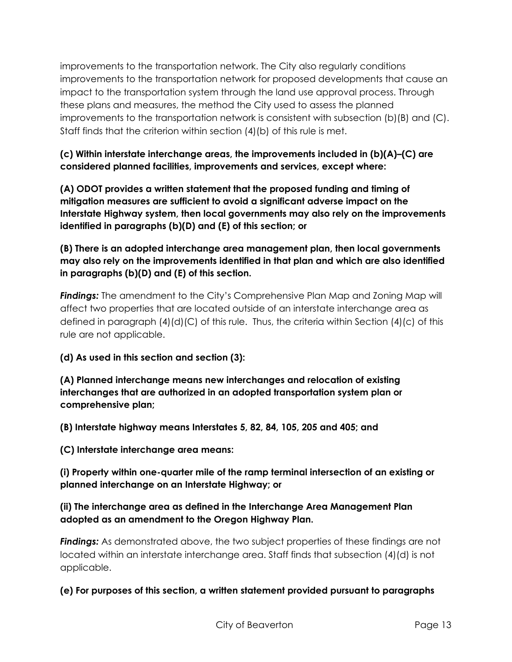improvements to the transportation network. The City also regularly conditions improvements to the transportation network for proposed developments that cause an impact to the transportation system through the land use approval process. Through these plans and measures, the method the City used to assess the planned improvements to the transportation network is consistent with subsection (b)(B) and (C). Staff finds that the criterion within section (4)(b) of this rule is met.

**(c) Within interstate interchange areas, the improvements included in (b)(A)–(C) are considered planned facilities, improvements and services, except where:** 

**(A) ODOT provides a written statement that the proposed funding and timing of mitigation measures are sufficient to avoid a significant adverse impact on the Interstate Highway system, then local governments may also rely on the improvements identified in paragraphs (b)(D) and (E) of this section; or** 

**(B) There is an adopted interchange area management plan, then local governments may also rely on the improvements identified in that plan and which are also identified in paragraphs (b)(D) and (E) of this section.** 

*Findings:* The amendment to the City's Comprehensive Plan Map and Zoning Map will affect two properties that are located outside of an interstate interchange area as defined in paragraph (4)(d)(C) of this rule. Thus, the criteria within Section (4)(c) of this rule are not applicable.

**(d) As used in this section and section (3):**

**(A) Planned interchange means new interchanges and relocation of existing interchanges that are authorized in an adopted transportation system plan or comprehensive plan;** 

**(B) Interstate highway means Interstates 5, 82, 84, 105, 205 and 405; and** 

**(C) Interstate interchange area means:** 

**(i) Property within one-quarter mile of the ramp terminal intersection of an existing or planned interchange on an Interstate Highway; or** 

## **(ii) The interchange area as defined in the Interchange Area Management Plan adopted as an amendment to the Oregon Highway Plan.**

*Findings:* As demonstrated above, the two subject properties of these findings are not located within an interstate interchange area. Staff finds that subsection (4)(d) is not applicable.

**(e) For purposes of this section, a written statement provided pursuant to paragraphs**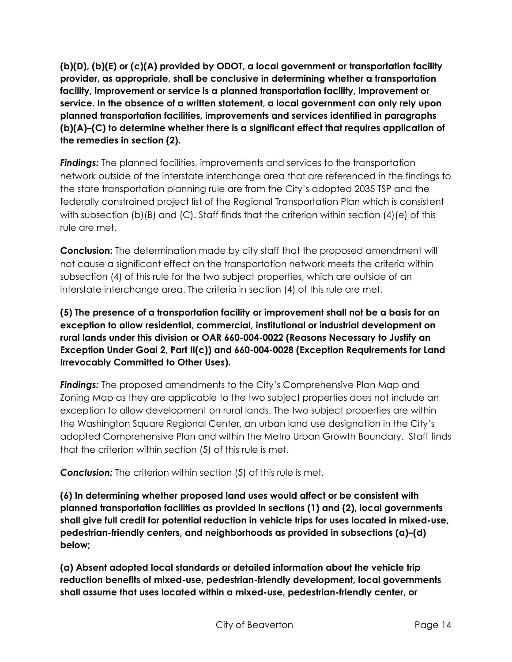**(b)(D), (b)(E) or (c)(A) provided by ODOT, a local government or transportation facility provider, as appropriate, shall be conclusive in determining whether a transportation facility, improvement or service is a planned transportation facility, improvement or service. In the absence of a written statement, a local government can only rely upon planned transportation facilities, improvements and services identified in paragraphs (b)(A)–(C) to determine whether there is a significant effect that requires application of the remedies in section (2).** 

*Findings:* The planned facilities, improvements and services to the transportation network outside of the interstate interchange area that are referenced in the findings to the state transportation planning rule are from the City's adopted 2035 TSP and the federally constrained project list of the Regional Transportation Plan which is consistent with subsection (b)(B) and (C). Staff finds that the criterion within section (4)(e) of this rule are met.

**Conclusion:** The determination made by city staff that the proposed amendment will not cause a significant effect on the transportation network meets the criteria within subsection (4) of this rule for the two subject properties, which are outside of an interstate interchange area. The criteria in section (4) of this rule are met.

**(5) The presence of a transportation facility or improvement shall not be a basis for an exception to allow residential, commercial, institutional or industrial development on rural lands under this division or OAR 660-004-0022 (Reasons Necessary to Justify an Exception Under Goal 2, Part II(c)) and 660-004-0028 (Exception Requirements for Land Irrevocably Committed to Other Uses).** 

*Findings:* The proposed amendments to the City's Comprehensive Plan Map and Zoning Map as they are applicable to the two subject properties does not include an exception to allow development on rural lands. The two subject properties are within the Washington Square Regional Center, an urban land use designation in the City's adopted Comprehensive Plan and within the Metro Urban Growth Boundary. Staff finds that the criterion within section (5) of this rule is met.

**Conclusion:** The criterion within section (5) of this rule is met.

**(6) In determining whether proposed land uses would affect or be consistent with planned transportation facilities as provided in sections (1) and (2), local governments shall give full credit for potential reduction in vehicle trips for uses located in mixed-use, pedestrian-friendly centers, and neighborhoods as provided in subsections (a)–(d) below;** 

**(a) Absent adopted local standards or detailed information about the vehicle trip reduction benefits of mixed-use, pedestrian-friendly development, local governments shall assume that uses located within a mixed-use, pedestrian-friendly center, or**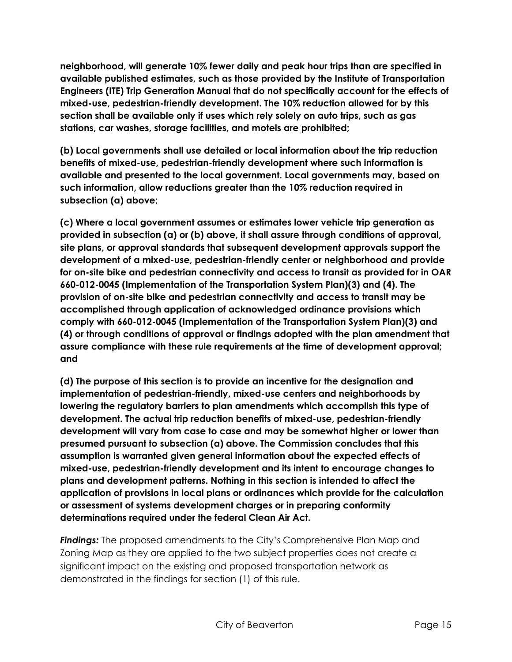**neighborhood, will generate 10% fewer daily and peak hour trips than are specified in available published estimates, such as those provided by the Institute of Transportation Engineers (ITE) Trip Generation Manual that do not specifically account for the effects of mixed-use, pedestrian-friendly development. The 10% reduction allowed for by this section shall be available only if uses which rely solely on auto trips, such as gas stations, car washes, storage facilities, and motels are prohibited;** 

**(b) Local governments shall use detailed or local information about the trip reduction benefits of mixed-use, pedestrian-friendly development where such information is available and presented to the local government. Local governments may, based on such information, allow reductions greater than the 10% reduction required in subsection (a) above;** 

**(c) Where a local government assumes or estimates lower vehicle trip generation as provided in subsection (a) or (b) above, it shall assure through conditions of approval, site plans, or approval standards that subsequent development approvals support the development of a mixed-use, pedestrian-friendly center or neighborhood and provide for on-site bike and pedestrian connectivity and access to transit as provided for in OAR 660-012-0045 (Implementation of the Transportation System Plan)(3) and (4). The provision of on-site bike and pedestrian connectivity and access to transit may be accomplished through application of acknowledged ordinance provisions which comply with 660-012-0045 (Implementation of the Transportation System Plan)(3) and (4) or through conditions of approval or findings adopted with the plan amendment that assure compliance with these rule requirements at the time of development approval; and** 

**(d) The purpose of this section is to provide an incentive for the designation and implementation of pedestrian-friendly, mixed-use centers and neighborhoods by lowering the regulatory barriers to plan amendments which accomplish this type of development. The actual trip reduction benefits of mixed-use, pedestrian-friendly development will vary from case to case and may be somewhat higher or lower than presumed pursuant to subsection (a) above. The Commission concludes that this assumption is warranted given general information about the expected effects of mixed-use, pedestrian-friendly development and its intent to encourage changes to plans and development patterns. Nothing in this section is intended to affect the application of provisions in local plans or ordinances which provide for the calculation or assessment of systems development charges or in preparing conformity determinations required under the federal Clean Air Act.** 

*Findings:* The proposed amendments to the City's Comprehensive Plan Map and Zoning Map as they are applied to the two subject properties does not create a significant impact on the existing and proposed transportation network as demonstrated in the findings for section (1) of this rule.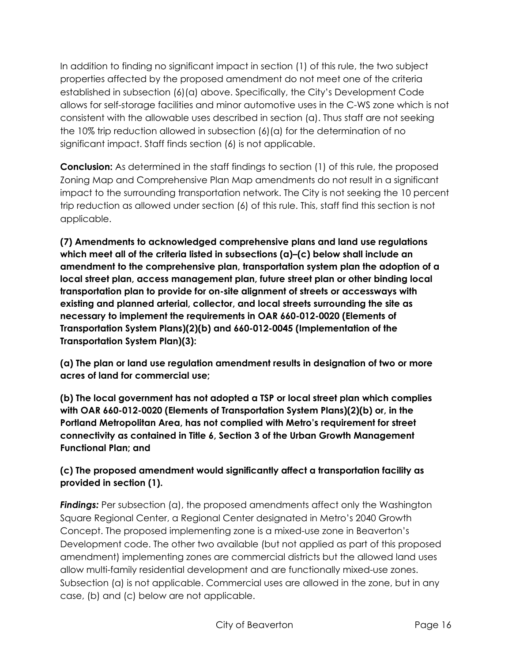In addition to finding no significant impact in section (1) of this rule, the two subject properties affected by the proposed amendment do not meet one of the criteria established in subsection (6)(a) above. Specifically, the City's Development Code allows for self-storage facilities and minor automotive uses in the C-WS zone which is not consistent with the allowable uses described in section (a). Thus staff are not seeking the 10% trip reduction allowed in subsection (6)(a) for the determination of no significant impact. Staff finds section (6) is not applicable.

**Conclusion:** As determined in the staff findings to section (1) of this rule, the proposed Zoning Map and Comprehensive Plan Map amendments do not result in a significant impact to the surrounding transportation network. The City is not seeking the 10 percent trip reduction as allowed under section (6) of this rule. This, staff find this section is not applicable.

**(7) Amendments to acknowledged comprehensive plans and land use regulations which meet all of the criteria listed in subsections (a)–(c) below shall include an amendment to the comprehensive plan, transportation system plan the adoption of a local street plan, access management plan, future street plan or other binding local transportation plan to provide for on-site alignment of streets or accessways with existing and planned arterial, collector, and local streets surrounding the site as necessary to implement the requirements in OAR 660-012-0020 (Elements of Transportation System Plans)(2)(b) and 660-012-0045 (Implementation of the Transportation System Plan)(3):** 

**(a) The plan or land use regulation amendment results in designation of two or more acres of land for commercial use;** 

**(b) The local government has not adopted a TSP or local street plan which complies with OAR 660-012-0020 (Elements of Transportation System Plans)(2)(b) or, in the Portland Metropolitan Area, has not complied with Metro's requirement for street connectivity as contained in Title 6, Section 3 of the Urban Growth Management Functional Plan; and** 

**(c) The proposed amendment would significantly affect a transportation facility as provided in section (1).**

*Findings:* Per subsection (a), the proposed amendments affect only the Washington Square Regional Center, a Regional Center designated in Metro's 2040 Growth Concept. The proposed implementing zone is a mixed-use zone in Beaverton's Development code. The other two available (but not applied as part of this proposed amendment) implementing zones are commercial districts but the allowed land uses allow multi-family residential development and are functionally mixed-use zones. Subsection (a) is not applicable. Commercial uses are allowed in the zone, but in any case, (b) and (c) below are not applicable.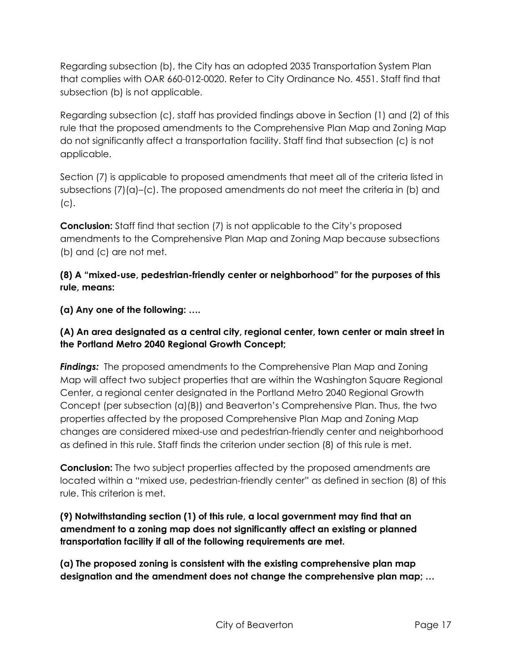Regarding subsection (b), the City has an adopted 2035 Transportation System Plan that complies with OAR 660-012-0020. Refer to City Ordinance No. 4551. Staff find that subsection (b) is not applicable.

Regarding subsection (c), staff has provided findings above in Section (1) and (2) of this rule that the proposed amendments to the Comprehensive Plan Map and Zoning Map do not significantly affect a transportation facility. Staff find that subsection (c) is not applicable.

Section (7) is applicable to proposed amendments that meet all of the criteria listed in subsections  $(7)(a)-(c)$ . The proposed amendments do not meet the criteria in (b) and (c).

**Conclusion:** Staff find that section (7) is not applicable to the City's proposed amendments to the Comprehensive Plan Map and Zoning Map because subsections (b) and (c) are not met.

**(8) A "mixed-use, pedestrian-friendly center or neighborhood" for the purposes of this rule, means:** 

**(a) Any one of the following: ….**

**(A) An area designated as a central city, regional center, town center or main street in the Portland Metro 2040 Regional Growth Concept;** 

*Findings:* The proposed amendments to the Comprehensive Plan Map and Zoning Map will affect two subject properties that are within the Washington Square Regional Center, a regional center designated in the Portland Metro 2040 Regional Growth Concept (per subsection (a)(B)) and Beaverton's Comprehensive Plan. Thus, the two properties affected by the proposed Comprehensive Plan Map and Zoning Map changes are considered mixed-use and pedestrian-friendly center and neighborhood as defined in this rule. Staff finds the criterion under section (8) of this rule is met.

**Conclusion:** The two subject properties affected by the proposed amendments are located within a "mixed use, pedestrian-friendly center" as defined in section (8) of this rule. This criterion is met.

**(9) Notwithstanding section (1) of this rule, a local government may find that an amendment to a zoning map does not significantly affect an existing or planned transportation facility if all of the following requirements are met.** 

**(a) The proposed zoning is consistent with the existing comprehensive plan map designation and the amendment does not change the comprehensive plan map; …**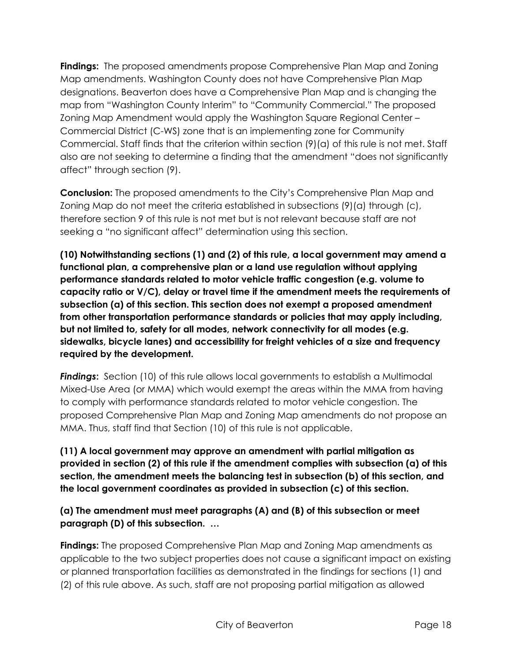**Findings:** The proposed amendments propose Comprehensive Plan Map and Zoning Map amendments. Washington County does not have Comprehensive Plan Map designations. Beaverton does have a Comprehensive Plan Map and is changing the map from "Washington County Interim" to "Community Commercial." The proposed Zoning Map Amendment would apply the Washington Square Regional Center – Commercial District (C-WS) zone that is an implementing zone for Community Commercial. Staff finds that the criterion within section (9)(a) of this rule is not met. Staff also are not seeking to determine a finding that the amendment "does not significantly affect" through section (9).

**Conclusion:** The proposed amendments to the City's Comprehensive Plan Map and Zoning Map do not meet the criteria established in subsections (9)(a) through (c), therefore section 9 of this rule is not met but is not relevant because staff are not seeking a "no significant affect" determination using this section.

**(10) Notwithstanding sections (1) and (2) of this rule, a local government may amend a functional plan, a comprehensive plan or a land use regulation without applying performance standards related to motor vehicle traffic congestion (e.g. volume to capacity ratio or V/C), delay or travel time if the amendment meets the requirements of subsection (a) of this section. This section does not exempt a proposed amendment from other transportation performance standards or policies that may apply including, but not limited to, safety for all modes, network connectivity for all modes (e.g. sidewalks, bicycle lanes) and accessibility for freight vehicles of a size and frequency required by the development.** 

*Findings***:** Section (10) of this rule allows local governments to establish a Multimodal Mixed-Use Area (or MMA) which would exempt the areas within the MMA from having to comply with performance standards related to motor vehicle congestion. The proposed Comprehensive Plan Map and Zoning Map amendments do not propose an MMA. Thus, staff find that Section (10) of this rule is not applicable.

**(11) A local government may approve an amendment with partial mitigation as provided in section (2) of this rule if the amendment complies with subsection (a) of this section, the amendment meets the balancing test in subsection (b) of this section, and the local government coordinates as provided in subsection (c) of this section.** 

**(a) The amendment must meet paragraphs (A) and (B) of this subsection or meet paragraph (D) of this subsection. …**

**Findings:** The proposed Comprehensive Plan Map and Zoning Map amendments as applicable to the two subject properties does not cause a significant impact on existing or planned transportation facilities as demonstrated in the findings for sections (1) and (2) of this rule above. As such, staff are not proposing partial mitigation as allowed